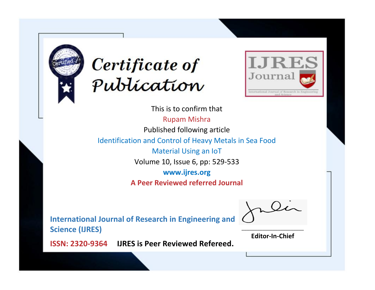



This is to confirm that Rupam Mishra Published following article Identification and Control of Heavy Metals in Sea Food Material Using an IoT Volume 10, Issue 6, pp: 529-533 **www.ijres.org A Peer Reviewed referred Journal**

**International Journal of Research in Engineering and Science (IJRES)**

\_\_\_\_\_\_\_\_\_\_\_\_\_\_\_\_\_\_\_\_\_\_\_\_ **Editor-In-Chief**

**Journal.**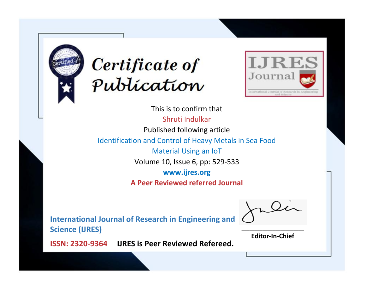



This is to confirm that Shruti Indulkar Published following article Identification and Control of Heavy Metals in Sea Food Material Using an IoT Volume 10, Issue 6, pp: 529-533 **www.ijres.org A Peer Reviewed referred Journal**

**International Journal of Research in Engineering and Science (IJRES)**

\_\_\_\_\_\_\_\_\_\_\_\_\_\_\_\_\_\_\_\_\_\_\_\_ **Editor-In-Chief**

**Journal.**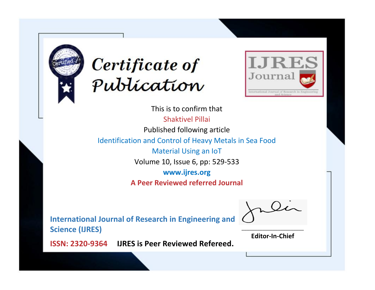



This is to confirm that Shaktivel Pillai Published following article Identification and Control of Heavy Metals in Sea Food Material Using an IoT Volume 10, Issue 6, pp: 529-533 **www.ijres.org A Peer Reviewed referred Journal**

**International Journal of Research in Engineering and Science (IJRES)**

\_\_\_\_\_\_\_\_\_\_\_\_\_\_\_\_\_\_\_\_\_\_\_\_ **Editor-In-Chief**

**Journal.**